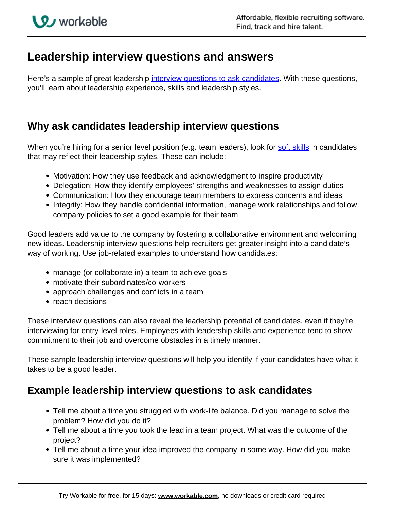# **Leadership interview questions and answers**

Here's a sample of great leadership *interview questions to ask candidates*. With these questions, you'll learn about leadership experience, skills and leadership styles.

#### **Why ask candidates leadership interview questions**

When you're hiring for a senior level position (e.g. team leaders), look for soft skills in candidates that may reflect their leadership styles. These can include:

- Motivation: How they use feedback and acknowledgment to inspire productivity
- Delegation: How they identify employees' strengths and weaknesses to assign duties
- Communication: How they encourage team members to express concerns and ideas
- Integrity: How they handle confidential information, manage work relationships and follow company policies to set a good example for their team

Good leaders add value to the company by fostering a collaborative environment and welcoming new ideas. Leadership interview questions help recruiters get greater insight into a candidate's way of working. Use job-related examples to understand how candidates:

- manage (or collaborate in) a team to achieve goals
- motivate their subordinates/co-workers
- approach challenges and conflicts in a team
- reach decisions

These interview questions can also reveal the leadership potential of candidates, even if they're interviewing for entry-level roles. Employees with leadership skills and experience tend to show commitment to their job and overcome obstacles in a timely manner.

These sample leadership interview questions will help you identify if your candidates have what it takes to be a good leader.

### **Example leadership interview questions to ask candidates**

- Tell me about a time you struggled with work-life balance. Did you manage to solve the problem? How did you do it?
- Tell me about a time you took the lead in a team project. What was the outcome of the project?
- Tell me about a time your idea improved the company in some way. How did you make sure it was implemented?